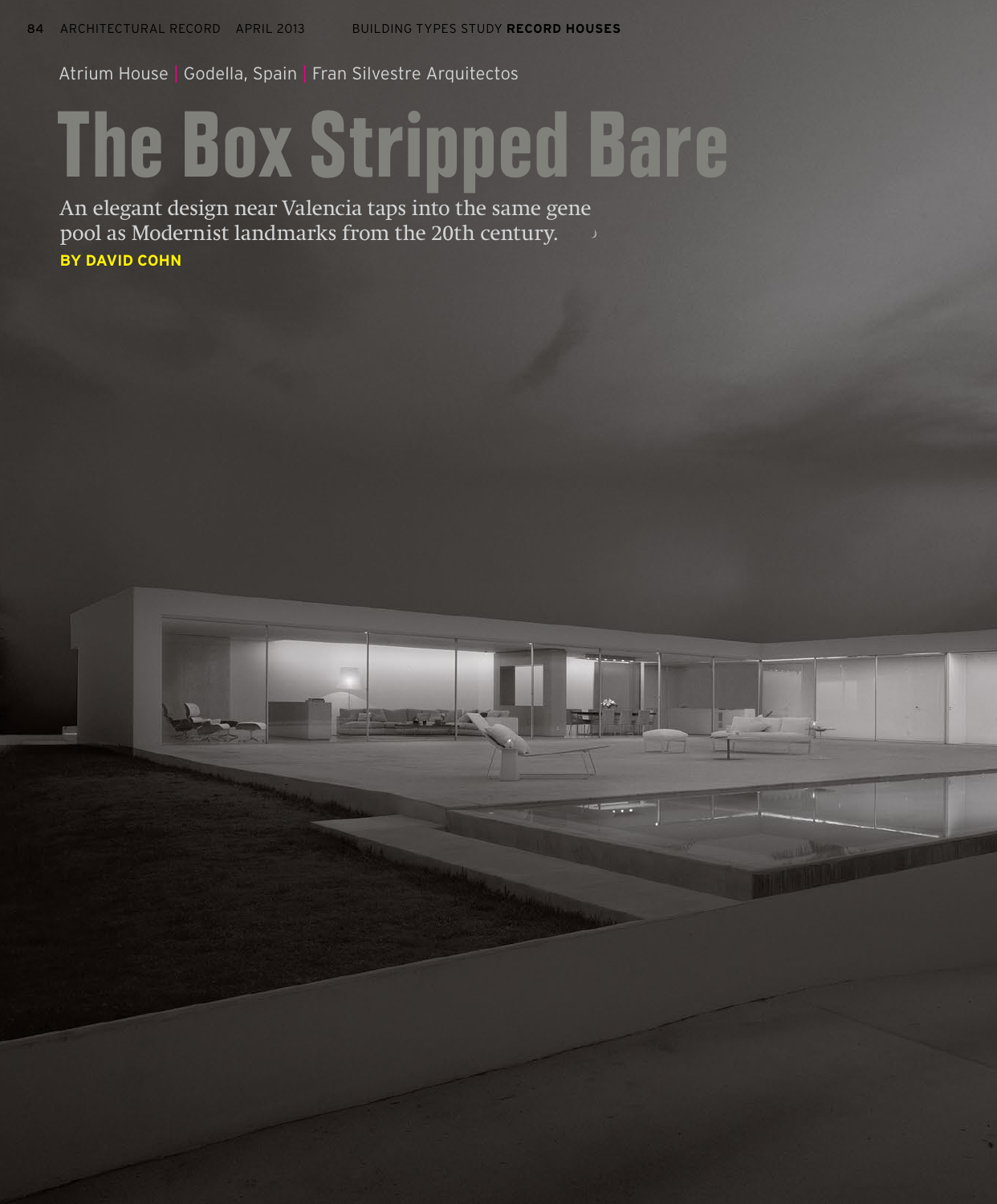Atrium House | Godella, Spain | Fran Silvestre Arquitectos

## The Box Stripped Bare

An elegant design near Valencia taps into the same gene pool as Modernist landmarks from the 20th century. **BY DAVID COHN**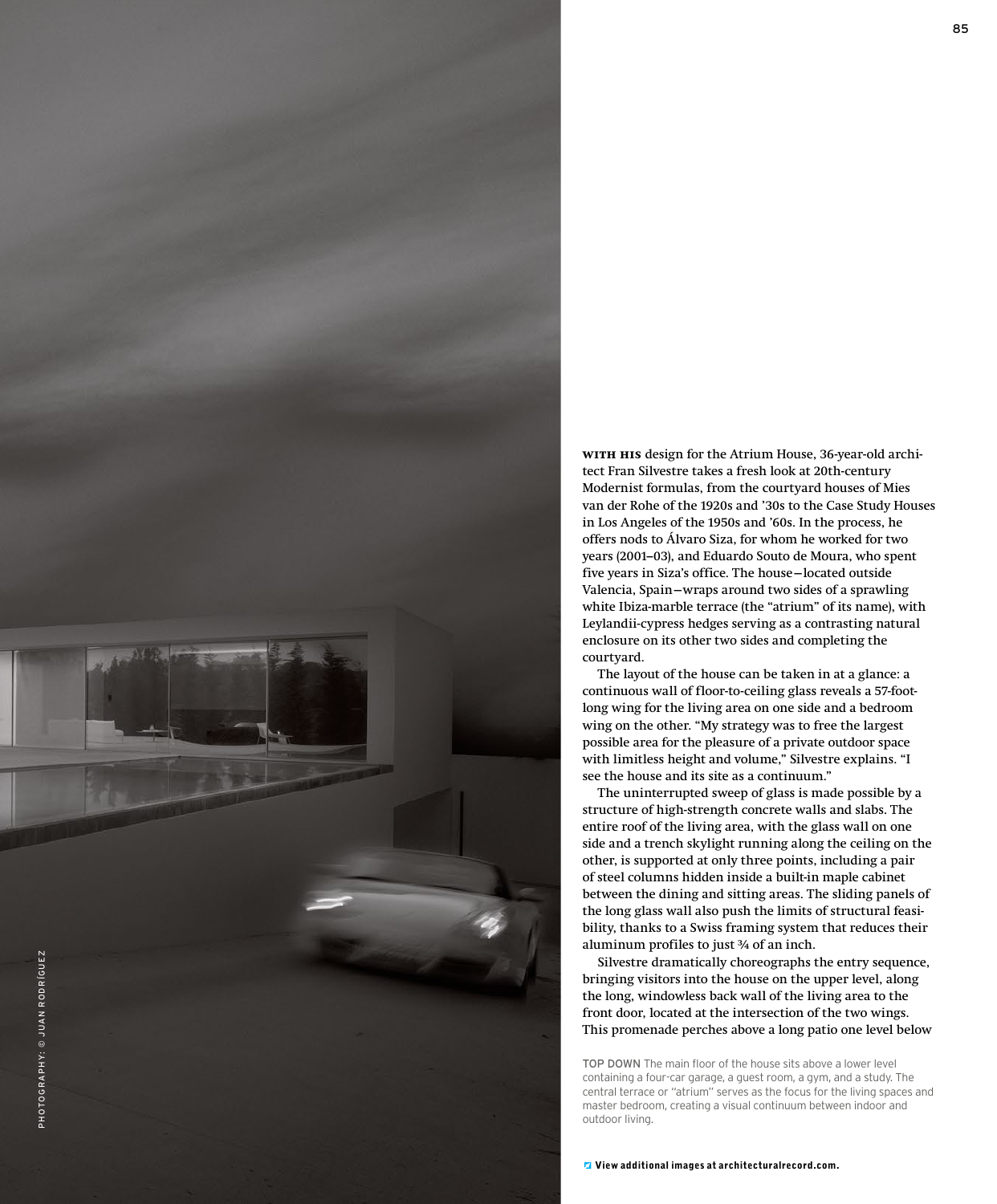

**With his** design for the Atrium House, 36-year-old architect Fran Silvestre takes a fresh look at 20th-century Modernist formulas, from the courtyard houses of Mies van der Rohe of the 1920s and '30s to the Case Study Houses in Los Angeles of the 1950s and '60s. In the process, he offers nods to Álvaro Siza, for whom he worked for two years (2001–03), and Eduardo Souto de Moura, who spent five years in Siza's office. The house—located outside Valencia, Spain—wraps around two sides of a sprawling white Ibiza-marble terrace (the "atrium" of its name), with Leylandii-cypress hedges serving as a contrasting natural enclosure on its other two sides and completing the courtyard.

The layout of the house can be taken in at a glance: a continuous wall of floor-to-ceiling glass reveals a 57-footlong wing for the living area on one side and a bedroom wing on the other. "My strategy was to free the largest possible area for the pleasure of a private outdoor space with limitless height and volume," Silvestre explains. "I see the house and its site as a continuum."

The uninterrupted sweep of glass is made possible by a structure of high-strength concrete walls and slabs. The entire roof of the living area, with the glass wall on one side and a trench skylight running along the ceiling on the other, is supported at only three points, including a pair of steel columns hidden inside a built-in maple cabinet between the dining and sitting areas. The sliding panels of the long glass wall also push the limits of structural feasibility, thanks to a Swiss framing system that reduces their aluminum profiles to just ¾ of an inch.

Silvestre dramatically choreographs the entry sequence, bringing visitors into the house on the upper level, along the long, windowless back wall of the living area to the front door, located at the intersection of the two wings. This promenade perches above a long patio one level below

TOP DOWN The main floor of the house sits above a lower level containing a four-car garage, a guest room, a gym, and a study. The central terrace or "atrium" serves as the focus for the living spaces and master bedroom, creating a visual continuum between indoor and outdoor living.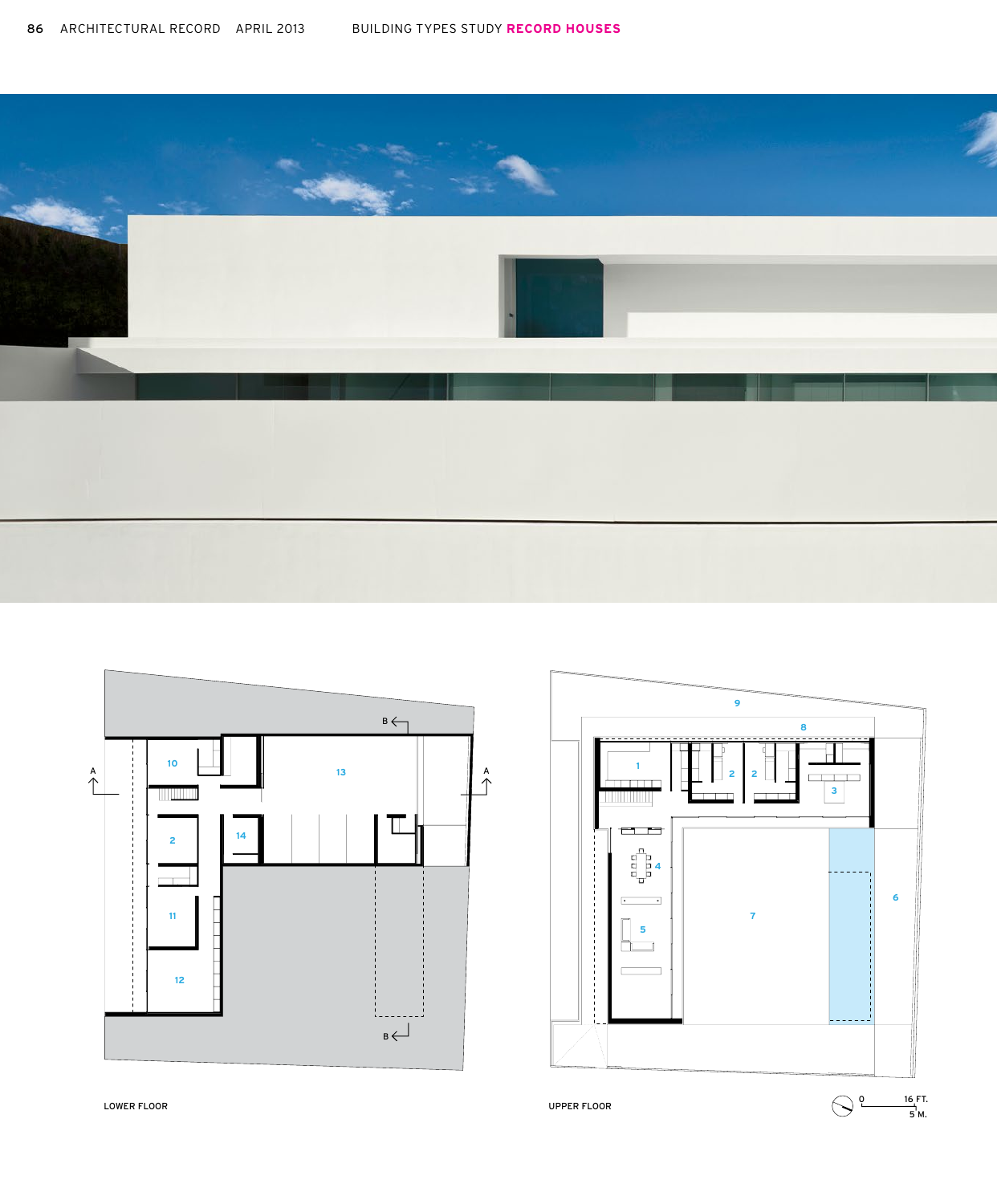





LOWER FLOOR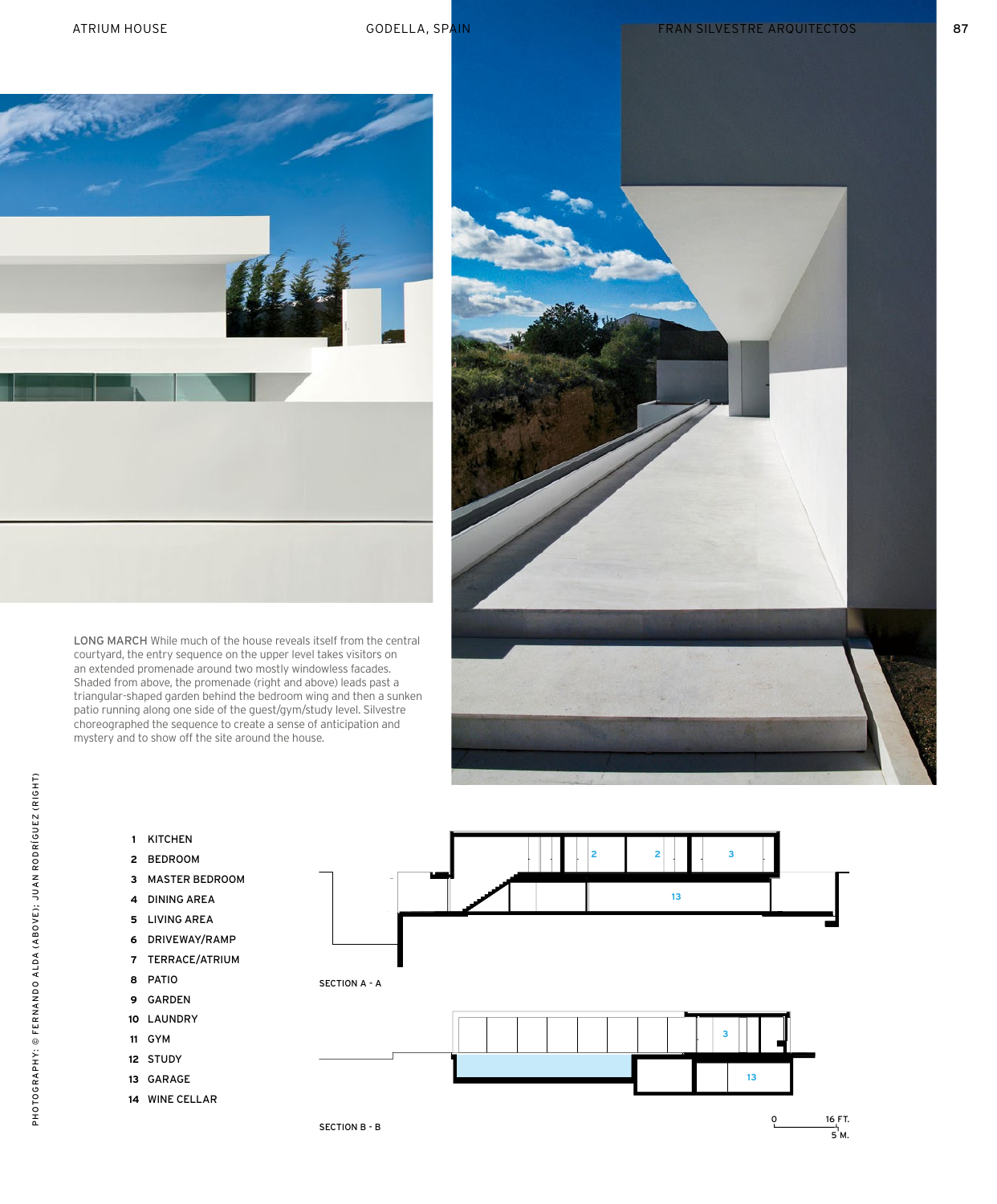ATRIUM HOUSE **ARCHITECTURE STUDY APPIEL A** SPAIN GODELLA, SPAIN FRAN SILVESTRE ARQUITECTOS **1999 1999 1999** 87



LONG MARCH While much of the house reveals itself from the central courtyard, the entry sequence on the upper level takes visitors on an extended promenade around two mostly windowless facades. Shaded from above, the promenade (right and above) leads past a triangular-shaped garden behind the bedroom wing and then a sunken patio running along one side of the guest/gym/study level. Silvestre choreographed the sequence to create a sense of anticipation and mystery and to show off the site around the house.



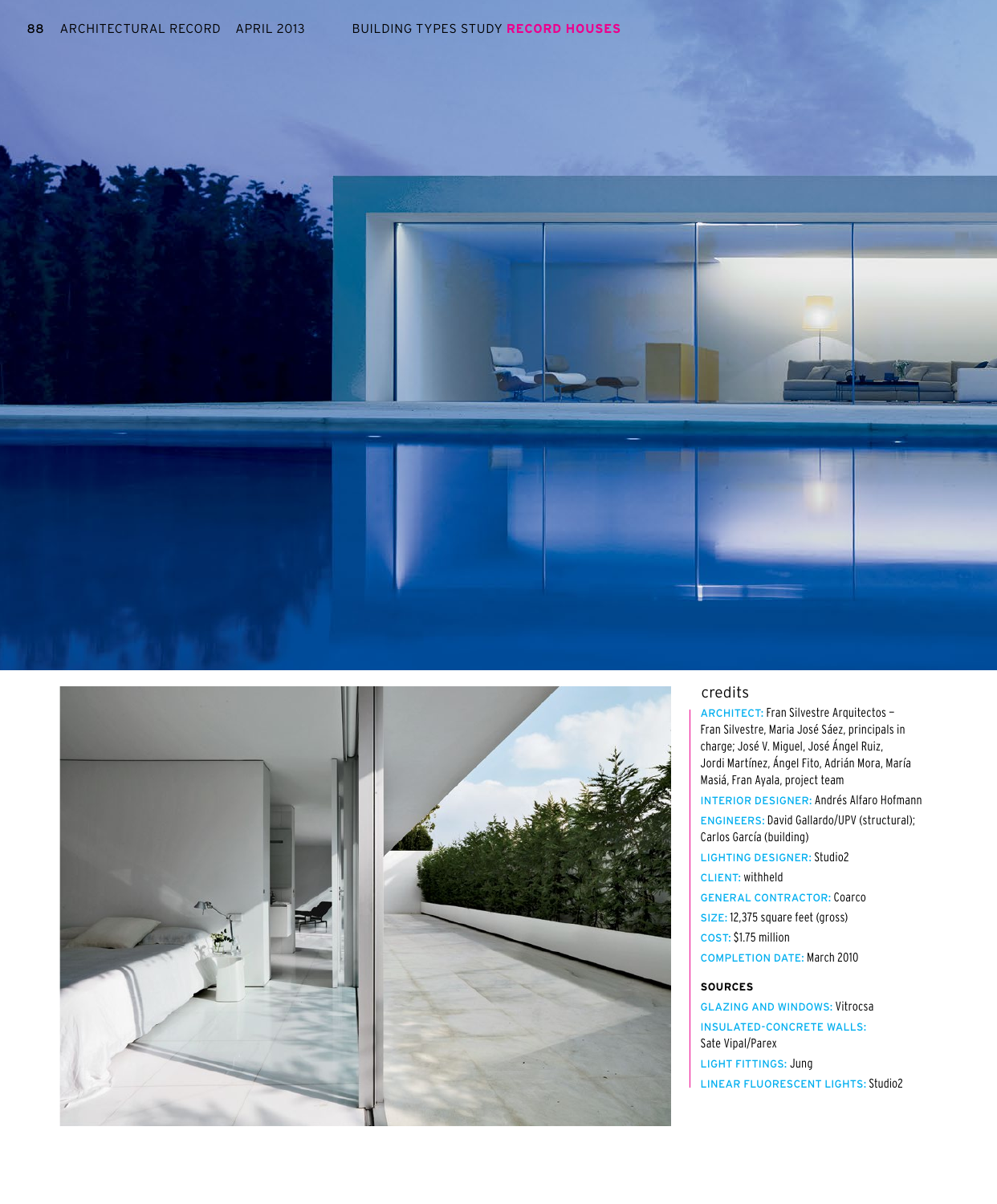



## credits

ARCHITECT: Fran Silvestre Arquitectos — Fran Silvestre, Maria José Sáez, principals in charge; José V. Miguel, José Ángel Ruiz, Jordi Martínez, Ángel Fito, Adrián Mora, María Masiá, Fran Ayala, project team INTERIOR DESIGNER: Andrés Alfaro Hofmann ENGINEERS: David Gallardo/UPV (structural); Carlos García (building) LIGHTING DESIGNER: Studio2 CLIENT: withheld GENERAL CONTRACTOR: Coarco SIZE: 12,375 square feet (gross) COST: \$1.75 million COMPLETION DATE: March 2010 **SOURCES**

GLAZING AND WINDOWS: Vitrocsa INSULATED-CONCRETE WALLS: Sate Vipal/Parex LIGHT FITTINGS: Jung LINEAR FLUORESCENT LIGHTS: Studio2